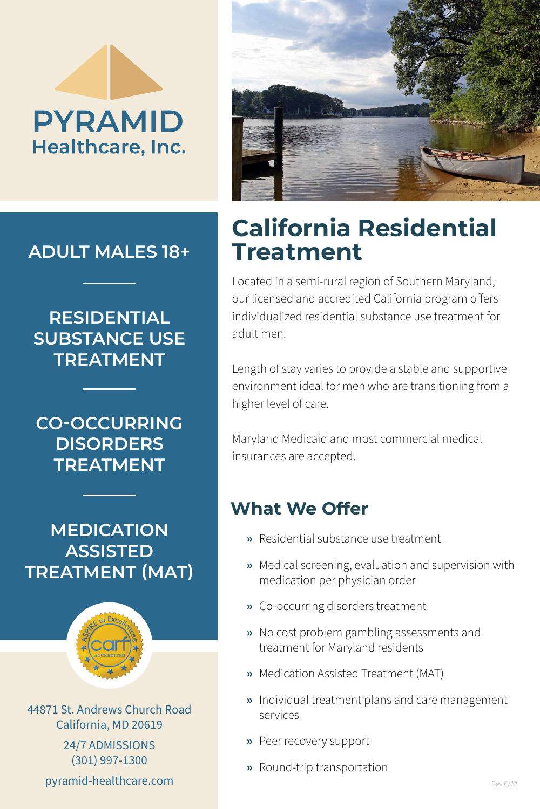# **PYRAMID** Healthcare, Inc.

**ADULT MALES 18+**

#### **RESIDENTIAL SUBSTANCE USE TREATMENT**

**CO-OCCURRING DISORDERS TREATMENT**

**MEDICATION ASSISTED TREATMENT (MAT)**



44871 St. Andrews Church Road California, MD 20619

> 24/7 ADMISSIONS (301) 997-1300

pyramid-healthcare.com



### **California Residential Treatment**

Located in a semi-rural region of Southern Maryland, our licensed and accredited California program offers individualized residential substance use treatment for adult men.

Length of stay varies to provide a stable and supportive environment ideal for men who are transitioning from a higher level of care.

Maryland Medicaid and most commercial medical insurances are accepted.

#### **What We Offer**

- **»** Residential substance use treatment
- **»** Medical screening, evaluation and supervision with medication per physician order
- **»** Co-occurring disorders treatment
- **»** No cost problem gambling assessments and treatment for Maryland residents
- **»** Medication Assisted Treatment (MAT)
- **»** Individual treatment plans and care management services
- **»** Peer recovery support
- **»** Round-trip transportation